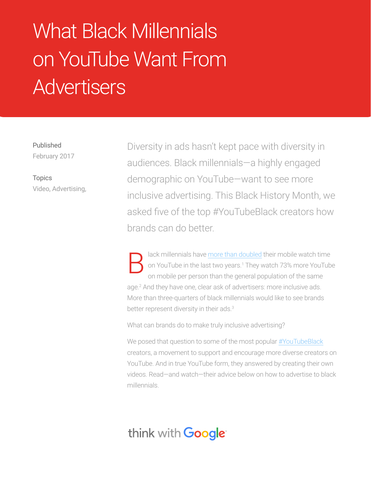# What Black Millennials on YouTube Want From **Advertisers**

Published February 2017

Topics Video, Advertising, Diversity in ads hasn't kept pace with diversity in audiences. Black millennials—a highly engaged demographic on YouTube—want to see more inclusive advertising. This Black History Month, we asked five of the top #YouTubeBlack creators how brands can do better.

lack millennials have [more than doubled](https://www.thinkwithgoogle.com/articles/diversity-in-advertising-black-millennials.html?_ga=1.124046474.1404275398.1483553696) their mobile watch time on YouTube in the last two years.<sup>1</sup> They watch 73% more YouTube on mobile per person than the general population of the same age.<sup>2</sup> And they have one, clear ask of advertisers: more inclusive ads. More than three-quarters of black millennials would like to see brands better represent diversity in their ads.3 B

What can brands do to make truly inclusive advertising?

We posed that question to some of the most popular [#YouTubeBlack](http://www.wetheunicorns.com/debate/diverse-2017-madeforyou-youtubeblack/#BapQIJcBdQHwVyUU.97) creators, a movement to support and encourage more diverse creators on YouTube. And in true YouTube form, they answered by creating their own videos. Read—and watch—their advice below on how to advertise to black millennials.

# think with **Google**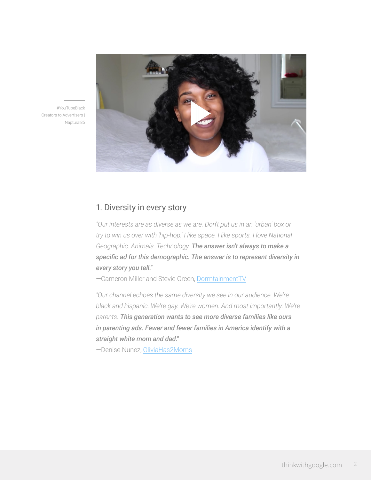

#YouTubeBlack Creators to Advertisers | Naptural85

# 1. Diversity in every story

*"Our interests are as diverse as we are. Don't put us in an 'urban' box or try to win us over with 'hip-hop.' I like space. I like sports. I love National Geographic. Animals. Technology. The answer isn't always to make a specific ad for this demographic. The answer is to represent diversity in every story you tell."*

—Cameron Miller and Stevie Green, [DormtainmentTV](https://www.youtube.com/channel/UCZ7Yv77eQ9uOS8lI5cqaxuQ)

*"Our channel echoes the same diversity we see in our audience. We're black and hispanic. We're gay. We're women. And most importantly: We're parents. This generation wants to see more diverse families like ours in parenting ads. Fewer and fewer families in America identify with a straight white mom and dad."*

—Denise Nunez, [OliviaHas2Moms](https://www.youtube.com/user/OliviaHas2Moms)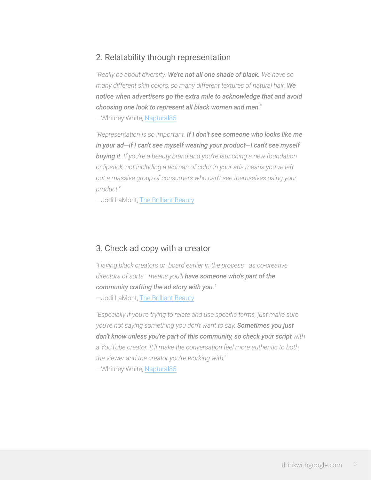# 2. Relatability through representation

*"Really be about diversity. We're not all one shade of black. We have so many different skin colors, so many different textures of natural hair. We notice when advertisers go the extra mile to acknowledge that and avoid choosing one look to represent all black women and men."* —Whitney White, [Naptural85](https://www.youtube.com/user/Naptural85)

*"Representation is so important. If I don't see someone who looks like me in your ad—if I can't see myself wearing your product—I can't see myself buying it. If you're a beauty brand and you're launching a new foundation or lipstick, not including a woman of color in your ads means you've left out a massive group of consumers who can't see themselves using your product."*

—Jodi LaMont, [The Brilliant Beauty](https://www.youtube.com/TheBrilliantBeauty)

#### 3. Check ad copy with a creator

*"Having black creators on board earlier in the process—as co-creative directors of sorts—means you'll have someone who's part of the community crafting the ad story with you."* —Jodi LaMont, [The Brilliant Beauty](https://www.youtube.com/TheBrilliantBeauty)

*"Especially if you're trying to relate and use specific terms, just make sure you're not saying something you don't want to say. Sometimes you just don't know unless you're part of this community, so check your script with a YouTube creator. It'll make the conversation feel more authentic to both the viewer and the creator you're working with."* —Whitney White, [Naptural85](https://www.youtube.com/user/Naptural85)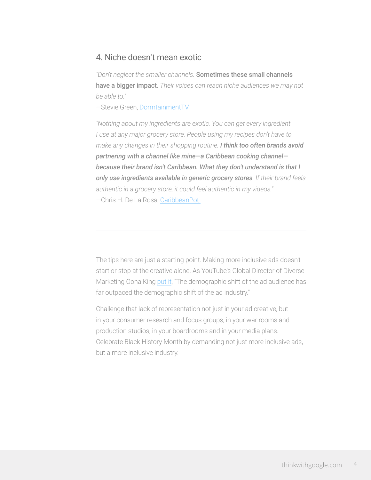### 4. Niche doesn't mean exotic

*"Don't neglect the smaller channels.* Sometimes these small channels have a bigger impact. *Their voices can reach niche audiences we may not be able to."*

—Stevie Green, [DormtainmentTV](https://www.youtube.com/user/DormtainmentTV) 

*"Nothing about my ingredients are exotic. You can get every ingredient I use at any major grocery store. People using my recipes don't have to make any changes in their shopping routine. I think too often brands avoid partnering with a channel like mine—a Caribbean cooking channel because their brand isn't Caribbean. What they don't understand is that I only use ingredients available in generic grocery stores. If their brand feels authentic in a grocery store, it could feel authentic in my videos."*

—Chris H. De La Rosa, [CaribbeanPot](https://www.youtube.com/user/caribbeanpot) 

The tips here are just a starting point. Making more inclusive ads doesn't start or stop at the creative alone. As YouTube's Global Director of Diverse Marketing Oona King [put it](https://www.thinkwithgoogle.com/articles/diversity-in-advertising-black-millennials.html?_ga=1.124086282.1404275398.1483553696), "The demographic shift of the ad audience has far outpaced the demographic shift of the ad industry."

Challenge that lack of representation not just in your ad creative, but in your consumer research and focus groups, in your war rooms and production studios, in your boardrooms and in your media plans. Celebrate Black History Month by demanding not just more inclusive ads, but a more inclusive industry.